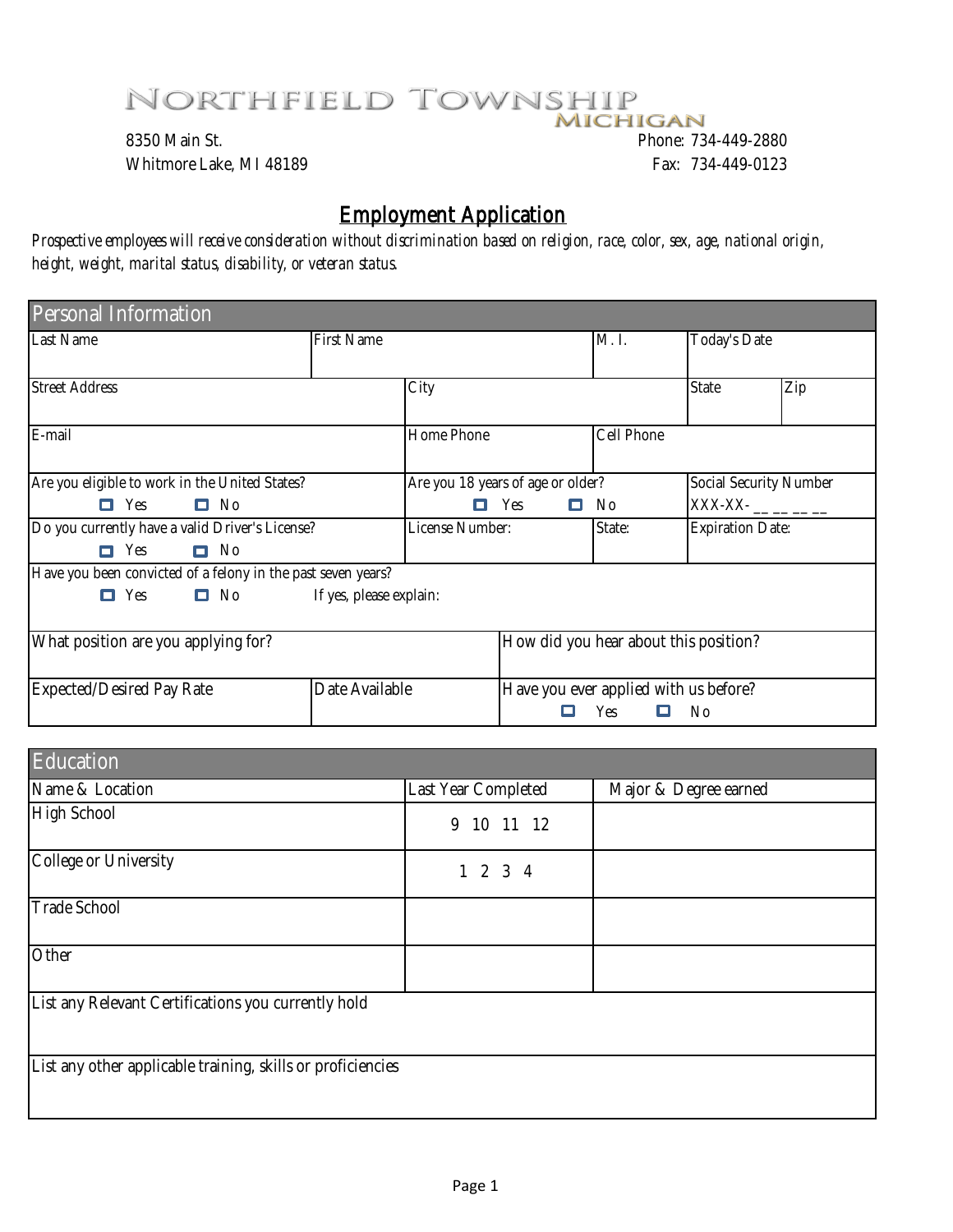## NORTHFIELD TOWNSHIP

8350 Main St. Phone: 734-449-2880 Whitmore Lake, MI 48189 **Fax: 734-449-0123** 

## Employment Application

*Prospective employees will receive consideration without discrimination based on religion, race, color, sex, age, national origin, height, weight, marital status, disability, or veteran status.* 

| Personal Information                                         |                         |                                   |                                       |                                                          |                         |     |
|--------------------------------------------------------------|-------------------------|-----------------------------------|---------------------------------------|----------------------------------------------------------|-------------------------|-----|
| Last Name                                                    | First Name              |                                   | M.1.                                  | Today's Date                                             |                         |     |
|                                                              |                         |                                   |                                       |                                                          |                         |     |
| <b>Street Address</b>                                        |                         | City                              |                                       |                                                          | State                   | Zip |
| E-mail                                                       |                         | Home Phone                        |                                       | Cell Phone                                               |                         |     |
| Are you eligible to work in the United States?               |                         | Are you 18 years of age or older? |                                       | Social Security Number                                   |                         |     |
| $\Box$ Yes $\Box$ No                                         |                         |                                   | $\blacksquare$ Yes<br>0               | - No                                                     | $XXX-XX-$ _ _ _ _       |     |
| Do you currently have a valid Driver's License?              |                         | License Number:                   |                                       | State:                                                   | <b>Expiration Date:</b> |     |
| $\Box$ Yes $\Box$ No                                         |                         |                                   |                                       |                                                          |                         |     |
| Have you been convicted of a felony in the past seven years? |                         |                                   |                                       |                                                          |                         |     |
| $\Box$ No<br>$\blacksquare$ Yes                              | If yes, please explain: |                                   |                                       |                                                          |                         |     |
| What position are you applying for?                          |                         |                                   | How did you hear about this position? |                                                          |                         |     |
| <b>Expected/Desired Pay Rate</b>                             | Date Available          |                                   |                                       | Have you ever applied with us before?<br>Yes<br>о<br>No. |                         |     |

| Education                                                   |                     |                       |
|-------------------------------------------------------------|---------------------|-----------------------|
| Name & Location                                             | Last Year Completed | Major & Degree earned |
| High School                                                 | 9<br>10 11 12       |                       |
| College or University                                       | 1 2 3 4             |                       |
| Trade School                                                |                     |                       |
| Other                                                       |                     |                       |
| List any Relevant Certifications you currently hold         |                     |                       |
| List any other applicable training, skills or proficiencies |                     |                       |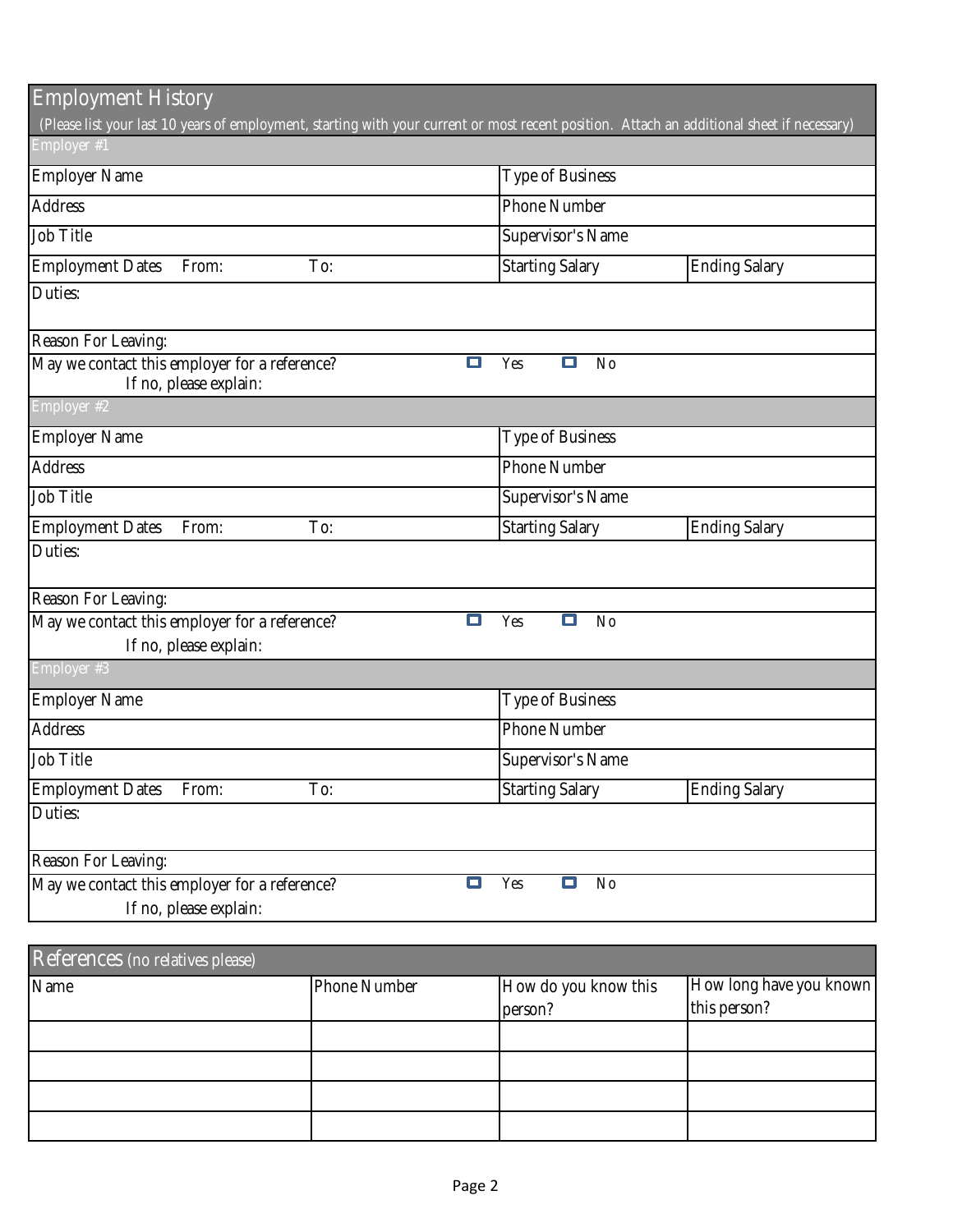| <b>Employment History</b>                                                                                                                   |                                      |                      |  |  |
|---------------------------------------------------------------------------------------------------------------------------------------------|--------------------------------------|----------------------|--|--|
| (Please list your last 10 years of employment, starting with your current or most recent position. Attach an additional sheet if necessary) |                                      |                      |  |  |
| Employer #1                                                                                                                                 |                                      |                      |  |  |
| Employer Name                                                                                                                               | Type of Business                     |                      |  |  |
| <b>Address</b>                                                                                                                              | Phone Number                         |                      |  |  |
| Job Title                                                                                                                                   | Supervisor's Name                    |                      |  |  |
| <b>Employment Dates</b><br>From:<br>To:                                                                                                     | <b>Starting Salary</b>               | <b>Ending Salary</b> |  |  |
| Duties:                                                                                                                                     |                                      |                      |  |  |
| Reason For Leaving:                                                                                                                         |                                      |                      |  |  |
| May we contact this employer for a reference?<br>If no, please explain:                                                                     | о<br>No<br>о<br>Yes                  |                      |  |  |
| Employer #2                                                                                                                                 |                                      |                      |  |  |
| Employer Name                                                                                                                               | Type of Business                     |                      |  |  |
| <b>Address</b>                                                                                                                              | Phone Number                         |                      |  |  |
| Job Title                                                                                                                                   | Supervisor's Name                    |                      |  |  |
| <b>Employment Dates</b><br>From:<br>To:                                                                                                     | <b>Starting Salary</b>               | <b>Ending Salary</b> |  |  |
| Duties:                                                                                                                                     |                                      |                      |  |  |
| Reason For Leaving:                                                                                                                         |                                      |                      |  |  |
| May we contact this employer for a reference?                                                                                               | Yes<br>о<br><b>No</b><br>□           |                      |  |  |
| If no, please explain:                                                                                                                      |                                      |                      |  |  |
| Employer #3                                                                                                                                 |                                      |                      |  |  |
| <b>Employer Name</b>                                                                                                                        | Type of Business                     |                      |  |  |
| <b>Address</b>                                                                                                                              | <b>Phone Number</b>                  |                      |  |  |
| Job Title                                                                                                                                   | Supervisor's Name                    |                      |  |  |
| <b>Employment Dates</b><br>From:<br>To:                                                                                                     | <b>Starting Salary</b>               | <b>Ending Salary</b> |  |  |
| Duties:                                                                                                                                     |                                      |                      |  |  |
| Reason For Leaving:                                                                                                                         |                                      |                      |  |  |
| May we contact this employer for a reference?<br>If no, please explain:                                                                     | $\Box$<br>Yes<br>$\Box$<br><b>No</b> |                      |  |  |

| References (no relatives please) |              |                      |                         |  |  |  |
|----------------------------------|--------------|----------------------|-------------------------|--|--|--|
| Name                             | Phone Number | How do you know this | How long have you known |  |  |  |
|                                  |              | person?              | this person?            |  |  |  |
|                                  |              |                      |                         |  |  |  |
|                                  |              |                      |                         |  |  |  |
|                                  |              |                      |                         |  |  |  |
|                                  |              |                      |                         |  |  |  |